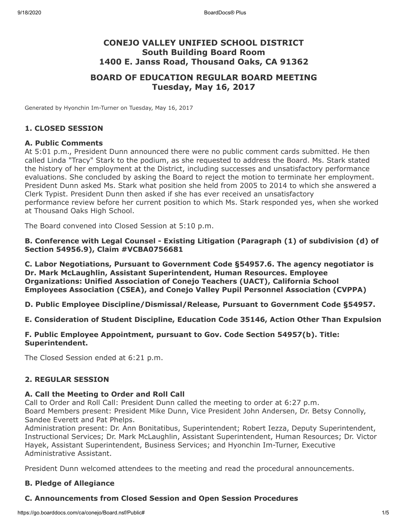# **CONEJO VALLEY UNIFIED SCHOOL DISTRICT South Building Board Room 1400 E. Janss Road, Thousand Oaks, CA 91362**

# **BOARD OF EDUCATION REGULAR BOARD MEETING Tuesday, May 16, 2017**

Generated by Hyonchin Im-Turner on Tuesday, May 16, 2017

#### **1. CLOSED SESSION**

#### **A. Public Comments**

At 5:01 p.m., President Dunn announced there were no public comment cards submitted. He then called Linda "Tracy" Stark to the podium, as she requested to address the Board. Ms. Stark stated the history of her employment at the District, including successes and unsatisfactory performance evaluations. She concluded by asking the Board to reject the motion to terminate her employment. President Dunn asked Ms. Stark what position she held from 2005 to 2014 to which she answered a Clerk Typist. President Dunn then asked if she has ever received an unsatisfactory performance review before her current position to which Ms. Stark responded yes, when she worked at Thousand Oaks High School.

The Board convened into Closed Session at 5:10 p.m.

**B. Conference with Legal Counsel - Existing Litigation (Paragraph (1) of subdivision (d) of Section 54956.9), Claim #VCBA0756681**

**C. Labor Negotiations, Pursuant to Government Code §54957.6. The agency negotiator is Dr. Mark McLaughlin, Assistant Superintendent, Human Resources. Employee Organizations: Unified Association of Conejo Teachers (UACT), California School Employees Association (CSEA), and Conejo Valley Pupil Personnel Association (CVPPA)**

**D. Public Employee Discipline/Dismissal/Release, Pursuant to Government Code §54957.**

**E. Consideration of Student Discipline, Education Code 35146, Action Other Than Expulsion**

#### **F. Public Employee Appointment, pursuant to Gov. Code Section 54957(b). Title: Superintendent.**

The Closed Session ended at 6:21 p.m.

### **2. REGULAR SESSION**

#### **A. Call the Meeting to Order and Roll Call**

Call to Order and Roll Call: President Dunn called the meeting to order at 6:27 p.m. Board Members present: President Mike Dunn, Vice President John Andersen, Dr. Betsy Connolly, Sandee Everett and Pat Phelps.

Administration present: Dr. Ann Bonitatibus, Superintendent; Robert Iezza, Deputy Superintendent, Instructional Services; Dr. Mark McLaughlin, Assistant Superintendent, Human Resources; Dr. Victor Hayek, Assistant Superintendent, Business Services; and Hyonchin Im-Turner, Executive Administrative Assistant.

President Dunn welcomed attendees to the meeting and read the procedural announcements.

### **B. Pledge of Allegiance**

#### **C. Announcements from Closed Session and Open Session Procedures**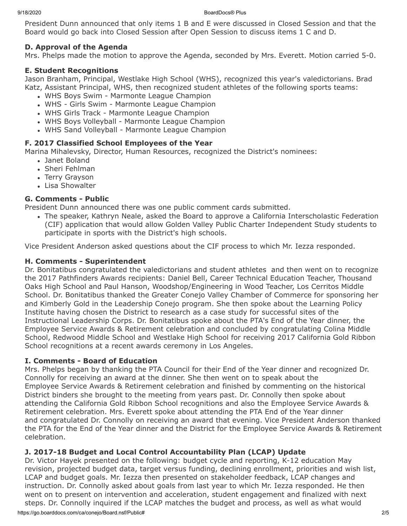President Dunn announced that only items 1 B and E were discussed in Closed Session and that the Board would go back into Closed Session after Open Session to discuss items 1 C and D.

# **D. Approval of the Agenda**

Mrs. Phelps made the motion to approve the Agenda, seconded by Mrs. Everett. Motion carried 5-0.

# **E. Student Recognitions**

Jason Branham, Principal, Westlake High School (WHS), recognized this year's valedictorians. Brad Katz, Assistant Principal, WHS, then recognized student athletes of the following sports teams:

- WHS Boys Swim Marmonte League Champion
- WHS Girls Swim Marmonte League Champion
- WHS Girls Track Marmonte League Champion
- WHS Boys Volleyball Marmonte League Champion
- WHS Sand Volleyball Marmonte League Champion

# **F. 2017 Classified School Employees of the Year**

Marina Mihalevsky, Director, Human Resources, recognized the District's nominees:

- Janet Boland
- Sheri Fehlman
- Terry Grayson
- Lisa Showalter

# **G. Comments - Public**

President Dunn announced there was one public comment cards submitted.

The speaker, Kathryn Neale, asked the Board to approve a California Interscholastic Federation (CIF) application that would allow Golden Valley Public Charter Independent Study students to participate in sports with the District's high schools.

Vice President Anderson asked questions about the CIF process to which Mr. Iezza responded.

# **H. Comments - Superintendent**

Dr. Bonitatibus congratulated the valedictorians and student athletes and then went on to recognize the 2017 Pathfinders Awards recipients: Daniel Bell, Career Technical Education Teacher, Thousand Oaks High School and Paul Hanson, Woodshop/Engineering in Wood Teacher, Los Cerritos Middle School. Dr. Bonitatibus thanked the Greater Conejo Valley Chamber of Commerce for sponsoring her and Kimberly Gold in the Leadership Conejo program. She then spoke about the Learning Policy Institute having chosen the District to research as a case study for successful sites of the Instructional Leadership Corps. Dr. Bonitatibus spoke about the PTA's End of the Year dinner, the Employee Service Awards & Retirement celebration and concluded by congratulating Colina Middle School, Redwood Middle School and Westlake High School for receiving 2017 California Gold Ribbon School recognitions at a recent awards ceremony in Los Angeles.

# **I. Comments - Board of Education**

Mrs. Phelps began by thanking the PTA Council for their End of the Year dinner and recognized Dr. Connolly for receiving an award at the dinner. She then went on to speak about the Employee Service Awards & Retirement celebration and finished by commenting on the historical District binders she brought to the meeting from years past. Dr. Connolly then spoke about attending the California Gold Ribbon School recognitions and also the Employee Service Awards & Retirement celebration. Mrs. Everett spoke about attending the PTA End of the Year dinner and congratulated Dr. Connolly on receiving an award that evening. Vice President Anderson thanked the PTA for the End of the Year dinner and the District for the Employee Service Awards & Retirement celebration.

# **J. 2017-18 Budget and Local Control Accountability Plan (LCAP) Update**

Dr. Victor Hayek presented on the following: budget cycle and reporting, K-12 education May revision, projected budget data, target versus funding, declining enrollment, priorities and wish list, LCAP and budget goals. Mr. Iezza then presented on stakeholder feedback, LCAP changes and instruction. Dr. Connolly asked about goals from last year to which Mr. Iezza responded. He then went on to present on intervention and acceleration, student engagement and finalized with next steps. Dr. Connolly inquired if the LCAP matches the budget and process, as well as what would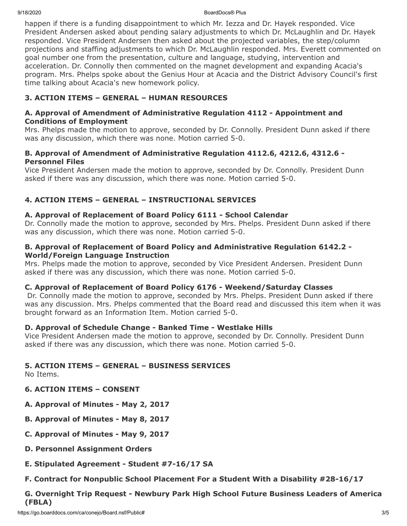9/18/2020 BoardDocs® Plus

happen if there is a funding disappointment to which Mr. Iezza and Dr. Hayek responded. Vice President Andersen asked about pending salary adjustments to which Dr. McLaughlin and Dr. Hayek responded. Vice President Andersen then asked about the projected variables, the step/column projections and staffing adjustments to which Dr. McLaughlin responded. Mrs. Everett commented on goal number one from the presentation, culture and language, studying, intervention and acceleration. Dr. Connolly then commented on the magnet development and expanding Acacia's program. Mrs. Phelps spoke about the Genius Hour at Acacia and the District Advisory Council's first time talking about Acacia's new homework policy.

# **3. ACTION ITEMS – GENERAL – HUMAN RESOURCES**

## **A. Approval of Amendment of Administrative Regulation 4112 - Appointment and Conditions of Employment**

Mrs. Phelps made the motion to approve, seconded by Dr. Connolly. President Dunn asked if there was any discussion, which there was none. Motion carried 5-0.

## **B. Approval of Amendment of Administrative Regulation 4112.6, 4212.6, 4312.6 - Personnel Files**

Vice President Andersen made the motion to approve, seconded by Dr. Connolly. President Dunn asked if there was any discussion, which there was none. Motion carried 5-0.

# **4. ACTION ITEMS – GENERAL – INSTRUCTIONAL SERVICES**

### **A. Approval of Replacement of Board Policy 6111 - School Calendar**

Dr. Connolly made the motion to approve, seconded by Mrs. Phelps. President Dunn asked if there was any discussion, which there was none. Motion carried 5-0.

#### **B. Approval of Replacement of Board Policy and Administrative Regulation 6142.2 - World/Foreign Language Instruction**

Mrs. Phelps made the motion to approve, seconded by Vice President Andersen. President Dunn asked if there was any discussion, which there was none. Motion carried 5-0.

### **C. Approval of Replacement of Board Policy 6176 - Weekend/Saturday Classes**

 Dr. Connolly made the motion to approve, seconded by Mrs. Phelps. President Dunn asked if there was any discussion. Mrs. Phelps commented that the Board read and discussed this item when it was brought forward as an Information Item. Motion carried 5-0.

### **D. Approval of Schedule Change - Banked Time - Westlake Hills**

Vice President Andersen made the motion to approve, seconded by Dr. Connolly. President Dunn asked if there was any discussion, which there was none. Motion carried 5-0.

## **5. ACTION ITEMS – GENERAL – BUSINESS SERVICES**

No Items.

- **6. ACTION ITEMS CONSENT**
- **A. Approval of Minutes May 2, 2017**
- **B. Approval of Minutes May 8, 2017**
- **C. Approval of Minutes May 9, 2017**
- **D. Personnel Assignment Orders**
- **E. Stipulated Agreement Student #7-16/17 SA**
- **F. Contract for Nonpublic School Placement For a Student With a Disability #28-16/17**

# **G. Overnight Trip Request - Newbury Park High School Future Business Leaders of America (FBLA)**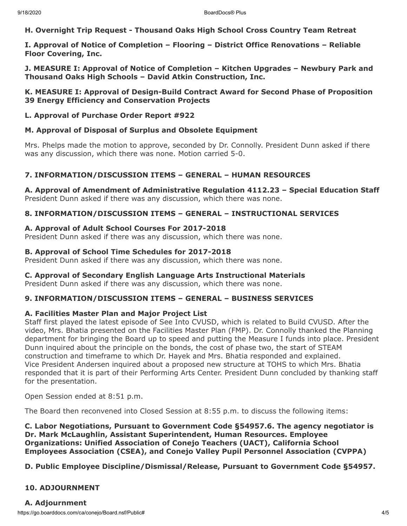**H. Overnight Trip Request - Thousand Oaks High School Cross Country Team Retreat**

**I. Approval of Notice of Completion – Flooring – District Office Renovations – Reliable Floor Covering, Inc.**

**J. MEASURE I: Approval of Notice of Completion – Kitchen Upgrades – Newbury Park and Thousand Oaks High Schools – David Atkin Construction, Inc.**

**K. MEASURE I: Approval of Design-Build Contract Award for Second Phase of Proposition 39 Energy Efficiency and Conservation Projects**

**L. Approval of Purchase Order Report #922**

#### **M. Approval of Disposal of Surplus and Obsolete Equipment**

Mrs. Phelps made the motion to approve, seconded by Dr. Connolly. President Dunn asked if there was any discussion, which there was none. Motion carried 5-0.

### **7. INFORMATION/DISCUSSION ITEMS – GENERAL – HUMAN RESOURCES**

**A. Approval of Amendment of Administrative Regulation 4112.23 – Special Education Staff** President Dunn asked if there was any discussion, which there was none.

### **8. INFORMATION/DISCUSSION ITEMS – GENERAL – INSTRUCTIONAL SERVICES**

#### **A. Approval of Adult School Courses For 2017-2018**

President Dunn asked if there was any discussion, which there was none.

#### **B. Approval of School Time Schedules for 2017-2018**

President Dunn asked if there was any discussion, which there was none.

### **C. Approval of Secondary English Language Arts Instructional Materials**

President Dunn asked if there was any discussion, which there was none.

# **9. INFORMATION/DISCUSSION ITEMS – GENERAL – BUSINESS SERVICES**

### **A. Facilities Master Plan and Major Project List**

Staff first played the latest episode of See Into CVUSD, which is related to Build CVUSD. After the video, Mrs. Bhatia presented on the Facilities Master Plan (FMP). Dr. Connolly thanked the Planning department for bringing the Board up to speed and putting the Measure I funds into place. President Dunn inquired about the principle on the bonds, the cost of phase two, the start of STEAM construction and timeframe to which Dr. Hayek and Mrs. Bhatia responded and explained. Vice President Andersen inquired about a proposed new structure at TOHS to which Mrs. Bhatia responded that it is part of their Performing Arts Center. President Dunn concluded by thanking staff for the presentation.

Open Session ended at 8:51 p.m.

The Board then reconvened into Closed Session at 8:55 p.m. to discuss the following items:

**C. Labor Negotiations, Pursuant to Government Code §54957.6. The agency negotiator is Dr. Mark McLaughlin, Assistant Superintendent, Human Resources. Employee Organizations: Unified Association of Conejo Teachers (UACT), California School Employees Association (CSEA), and Conejo Valley Pupil Personnel Association (CVPPA)**

### **D. Public Employee Discipline/Dismissal/Release, Pursuant to Government Code §54957.**

# **10. ADJOURNMENT**